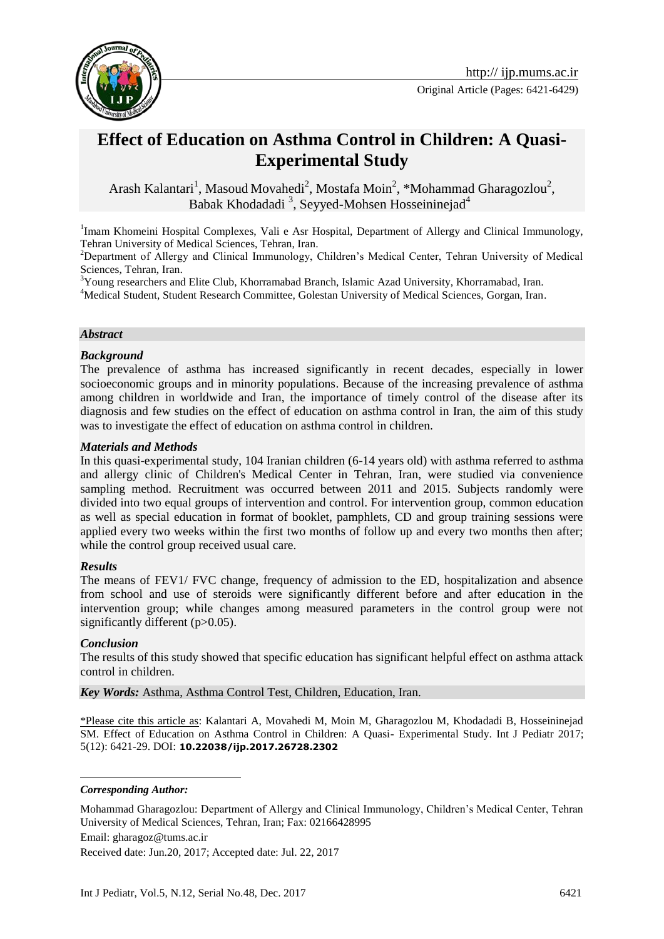

# **Effect of Education on Asthma Control in Children: A Quasi-Experimental Study**

Arash Kalantari<sup>1</sup>, Masoud Movahedi<sup>2</sup>, Mostafa Moin<sup>2</sup>, \*Mohammad Gharagozlou<sup>2</sup>, Babak Khodadadi<sup>3</sup>, Seyyed-Mohsen Hosseininejad<sup>4</sup>

<sup>1</sup>Imam Khomeini Hospital Complexes, Vali e Asr Hospital, Department of Allergy and Clinical Immunology, Tehran University of Medical Sciences, Tehran, Iran.

<sup>2</sup>Department of Allergy and Clinical Immunology, Children's Medical Center, Tehran University of Medical Sciences, Tehran, Iran.

<sup>3</sup>Young researchers and Elite Club, Khorramabad Branch, Islamic Azad University, Khorramabad, Iran. <sup>4</sup>Medical Student, Student Research Committee, Golestan University of Medical Sciences, Gorgan, Iran.

### *Abstract*

#### *Background*

The prevalence of asthma has increased significantly in recent decades, especially in lower socioeconomic groups and in minority populations. Because of the increasing prevalence of asthma among children in worldwide and Iran, the importance of timely control of the disease after its diagnosis and few studies on the effect of education on asthma control in Iran, the aim of this study was to investigate the effect of education on asthma control in children.

#### *Materials and Methods*

In this quasi-experimental study, 104 Iranian children (6-14 years old) with asthma referred to asthma and allergy clinic of Children's Medical Center in Tehran, Iran, were studied via convenience sampling method. Recruitment was occurred between 2011 and 2015. Subjects randomly were divided into two equal groups of intervention and control. For intervention group, common education as well as special education in format of booklet, pamphlets, CD and group training sessions were applied every two weeks within the first two months of follow up and every two months then after; while the control group received usual care.

### *Results*

The means of FEV1/ FVC change, frequency of admission to the ED, hospitalization and absence from school and use of steroids were significantly different before and after education in the intervention group; while changes among measured parameters in the control group were not significantly different (p>0.05).

### *Conclusion*

<u>.</u>

The results of this study showed that specific education has significant helpful effect on asthma attack control in children.

*Key Words:* Asthma, Asthma Control Test, Children, Education, Iran.

\*Please cite this article as: Kalantari A, Movahedi M, Moin M, Gharagozlou M, Khodadadi B, Hosseininejad SM. Effect of Education on Asthma Control in Children: A Quasi- Experimental Study. Int J Pediatr 2017; 5(12): 6421-29. DOI: **10.22038/ijp.2017.26728.2302**

*Corresponding Author:*

Mohammad Gharagozlou: Department of Allergy and Clinical Immunology, Children's Medical Center, Tehran University of Medical Sciences, Tehran, Iran; Fax: 02166428995

Email: gharagoz@tums.ac.ir

Received date: Jun.20, 2017; Accepted date: Jul. 22, 2017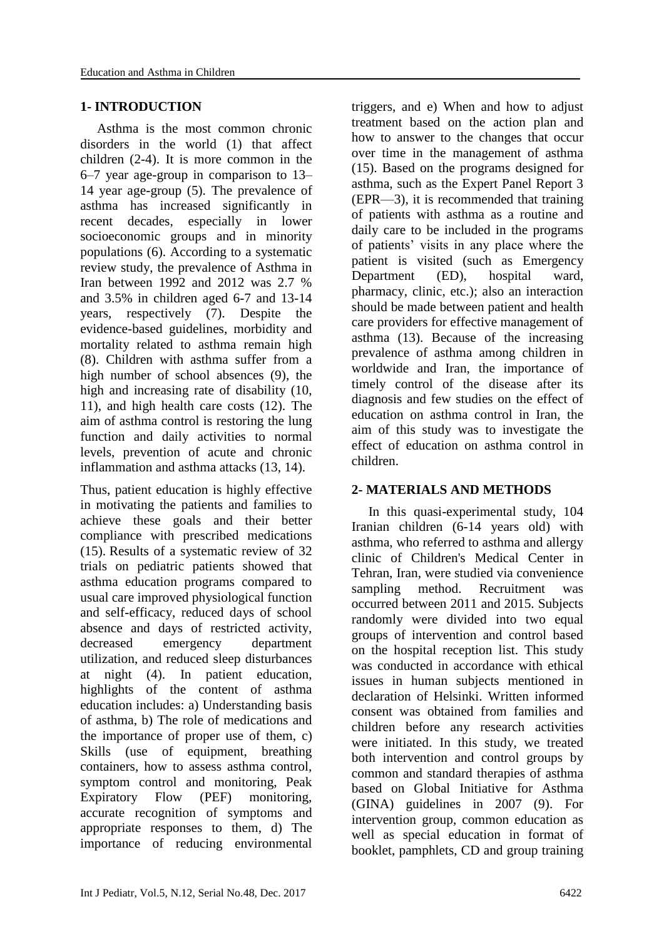### **1- INTRODUCTION**

 Asthma is the most common chronic disorders in the world (1) that affect children (2-4). It is more common in the 6–7 year age-group in comparison to 13– 14 year age-group (5). The prevalence of asthma has increased significantly in recent decades, especially in lower socioeconomic groups and in minority populations (6). According to a systematic review study, the prevalence of Asthma in Iran between 1992 and 2012 was 2.7 % and 3.5% in children aged 6-7 and 13-14 years, respectively (7). Despite the evidence-based guidelines, morbidity and mortality related to asthma remain high (8). Children with asthma suffer from a high number of school absences (9), the high and increasing rate of disability (10, 11), and high health care costs (12). The aim of asthma control is restoring the lung function and daily activities to normal levels, prevention of acute and chronic inflammation and asthma attacks (13, 14).

Thus, patient education is highly effective in motivating the patients and families to achieve these goals and their better compliance with prescribed medications (15). Results of a systematic review of 32 trials on pediatric patients showed that asthma education programs compared to usual care improved physiological function and self-efficacy, reduced days of school absence and days of restricted activity, decreased emergency department utilization, and reduced sleep disturbances at night (4). In patient education, highlights of the content of asthma education includes: a) Understanding basis of asthma, b) The role of medications and the importance of proper use of them, c) Skills (use of equipment, breathing containers, how to assess asthma control, symptom control and monitoring, Peak Expiratory Flow (PEF) monitoring, accurate recognition of symptoms and appropriate responses to them, d) The importance of reducing environmental triggers, and e) When and how to adjust treatment based on the action plan and how to answer to the changes that occur over time in the management of asthma (15). Based on the programs designed for asthma, such as the Expert Panel Report 3 (EPR—3), it is recommended that training of patients with asthma as a routine and daily care to be included in the programs of patients' visits in any place where the patient is visited (such as Emergency Department (ED), hospital ward, pharmacy, clinic, etc.); also an interaction should be made between patient and health care providers for effective management of asthma (13). Because of the increasing prevalence of asthma among children in worldwide and Iran, the importance of timely control of the disease after its diagnosis and few studies on the effect of education on asthma control in Iran, the aim of this study was to investigate the effect of education on asthma control in children.

# **2- MATERIALS AND METHODS**

 In this quasi-experimental study, 104 Iranian children (6-14 years old) with asthma, who referred to asthma and allergy clinic of Children's Medical Center in Tehran, Iran, were studied via convenience sampling method. Recruitment was occurred between 2011 and 2015. Subjects randomly were divided into two equal groups of intervention and control based on the hospital reception list. This study was conducted in accordance with ethical issues in human subjects mentioned in declaration of Helsinki. Written informed consent was obtained from families and children before any research activities were initiated. In this study, we treated both intervention and control groups by common and standard therapies of asthma based on Global Initiative for Asthma (GINA) guidelines in 2007 (9). For intervention group, common education as well as special education in format of booklet, pamphlets, CD and group training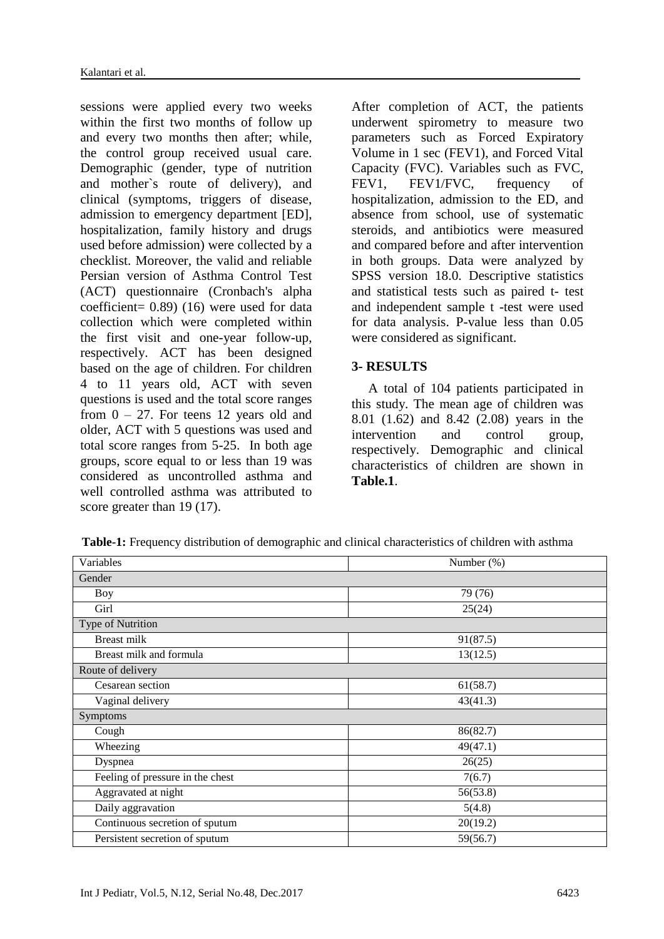sessions were applied every two weeks within the first two months of follow up and every two months then after; while, the control group received usual care. Demographic (gender, type of nutrition and mother`s route of delivery), and clinical (symptoms, triggers of disease, admission to emergency department [ED], hospitalization, family history and drugs used before admission) were collected by a checklist. Moreover, the valid and reliable Persian version of Asthma Control Test (ACT) questionnaire (Cronbach's alpha coefficient= 0.89) (16) were used for data collection which were completed within the first visit and one-year follow-up, respectively. ACT has been designed based on the age of children. For children 4 to 11 years old, ACT with seven questions is used and the total score ranges from  $0 - 27$ . For teens 12 years old and older, ACT with 5 questions was used and total score ranges from 5-25. In both age groups, score equal to or less than 19 was considered as uncontrolled asthma and well controlled asthma was attributed to score greater than 19 (17).

After completion of ACT, the patients underwent spirometry to measure two parameters such as Forced Expiratory Volume in 1 sec (FEV1), and Forced Vital Capacity (FVC). Variables such as FVC, FEV1, FEV1/FVC, frequency of hospitalization, admission to the ED, and absence from school, use of systematic steroids, and antibiotics were measured and compared before and after intervention in both groups. Data were analyzed by SPSS version 18.0. Descriptive statistics and statistical tests such as paired t- test and independent sample t -test were used for data analysis. P-value less than 0.05 were considered as significant.

# **3- RESULTS**

 A total of 104 patients participated in this study. The mean age of children was 8.01 (1.62) and 8.42 (2.08) years in the intervention and control group, respectively. Demographic and clinical characteristics of children are shown in **Table.1**.

| Variables                        | Number $(\%)$ |  |  |  |
|----------------------------------|---------------|--|--|--|
| Gender                           |               |  |  |  |
| Boy                              | 79 (76)       |  |  |  |
| Girl                             | 25(24)        |  |  |  |
| Type of Nutrition                |               |  |  |  |
| <b>Breast milk</b>               | 91(87.5)      |  |  |  |
| Breast milk and formula          | 13(12.5)      |  |  |  |
| Route of delivery                |               |  |  |  |
| Cesarean section                 | 61(58.7)      |  |  |  |
| Vaginal delivery                 | 43(41.3)      |  |  |  |
| Symptoms                         |               |  |  |  |
| Cough                            | 86(82.7)      |  |  |  |
| Wheezing                         | 49(47.1)      |  |  |  |
| Dyspnea                          | 26(25)        |  |  |  |
| Feeling of pressure in the chest | 7(6.7)        |  |  |  |
| Aggravated at night              | 56(53.8)      |  |  |  |
| Daily aggravation                | 5(4.8)        |  |  |  |
| Continuous secretion of sputum   | 20(19.2)      |  |  |  |
| Persistent secretion of sputum   | 59(56.7)      |  |  |  |

**Table-1:** Frequency distribution of demographic and clinical characteristics of children with asthma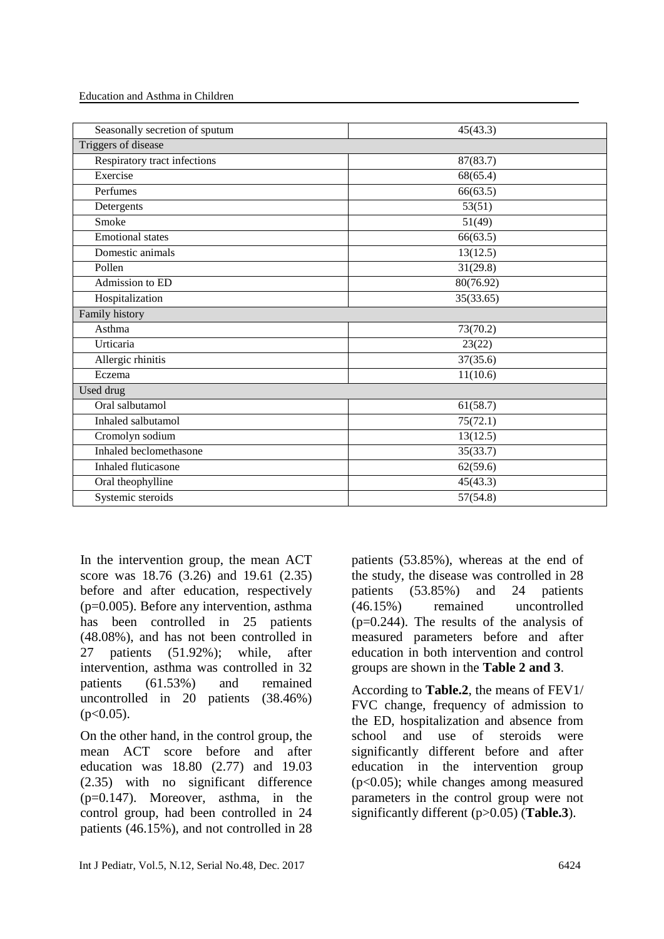Education and Asthma in Children

| Seasonally secretion of sputum | 45(43.3)  |  |
|--------------------------------|-----------|--|
| Triggers of disease            |           |  |
| Respiratory tract infections   | 87(83.7)  |  |
| Exercise                       | 68(65.4)  |  |
| Perfumes                       | 66(63.5)  |  |
| Detergents                     | 53(51)    |  |
| Smoke                          | 51(49)    |  |
| <b>Emotional</b> states        | 66(63.5)  |  |
| Domestic animals               | 13(12.5)  |  |
| Pollen                         | 31(29.8)  |  |
| Admission to ED                | 80(76.92) |  |
| Hospitalization                | 35(33.65) |  |
| Family history                 |           |  |
| Asthma                         | 73(70.2)  |  |
| Urticaria                      | 23(22)    |  |
| Allergic rhinitis              | 37(35.6)  |  |
| Eczema                         | 11(10.6)  |  |
| Used drug                      |           |  |
| Oral salbutamol                | 61(58.7)  |  |
| Inhaled salbutamol             | 75(72.1)  |  |
| Cromolyn sodium                | 13(12.5)  |  |
| Inhaled beclomethasone         | 35(33.7)  |  |
| Inhaled fluticasone            | 62(59.6)  |  |
| Oral theophylline              | 45(43.3)  |  |
| Systemic steroids              | 57(54.8)  |  |
|                                |           |  |

In the intervention group, the mean ACT score was 18.76 (3.26) and 19.61 (2.35) before and after education, respectively (p=0.005). Before any intervention, asthma has been controlled in 25 patients (48.08%), and has not been controlled in 27 patients (51.92%); while, after intervention, asthma was controlled in 32 patients (61.53%) and remained uncontrolled in 20 patients (38.46%)  $(p<0.05)$ .

On the other hand, in the control group, the mean ACT score before and after education was 18.80 (2.77) and 19.03 (2.35) with no significant difference (p=0.147). Moreover, asthma, in the control group, had been controlled in 24 patients (46.15%), and not controlled in 28

patients (53.85%), whereas at the end of the study, the disease was controlled in 28 patients (53.85%) and 24 patients (46.15%) remained uncontrolled  $(p=0.244)$ . The results of the analysis of measured parameters before and after education in both intervention and control groups are shown in the **Table 2 and 3**.

According to **Table.2**, the means of FEV1/ FVC change, frequency of admission to the ED, hospitalization and absence from school and use of steroids were significantly different before and after education in the intervention group (p<0.05); while changes among measured parameters in the control group were not significantly different (p>0.05) (**Table.3**).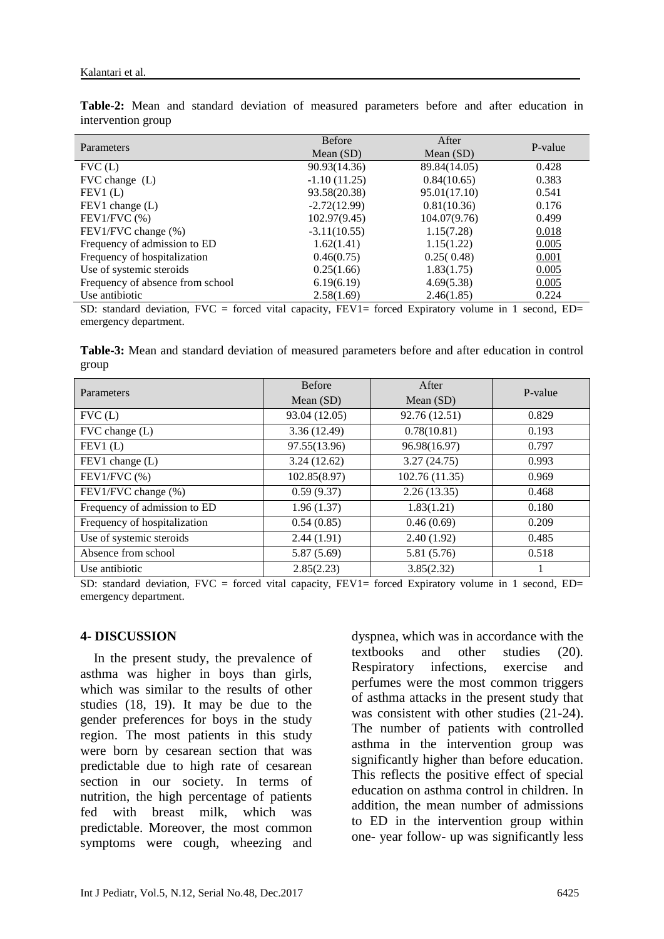| Parameters                       | <b>Before</b>  | After        | P-value |
|----------------------------------|----------------|--------------|---------|
|                                  | Mean $(SD)$    | Mean $(SD)$  |         |
| FVC(L)                           | 90.93(14.36)   | 89.84(14.05) | 0.428   |
| $FVC$ change $(L)$               | $-1.10(11.25)$ | 0.84(10.65)  | 0.383   |
| FEV1(L)                          | 93.58(20.38)   | 95.01(17.10) | 0.541   |
| $FEV1$ change $(L)$              | $-2.72(12.99)$ | 0.81(10.36)  | 0.176   |
| $FEV1/FVC$ $%$ )                 | 102.97(9.45)   | 104.07(9.76) | 0.499   |
| FEV1/FVC change (%)              | $-3.11(10.55)$ | 1.15(7.28)   | 0.018   |
| Frequency of admission to ED     | 1.62(1.41)     | 1.15(1.22)   | 0.005   |
| Frequency of hospitalization     | 0.46(0.75)     | 0.25(0.48)   | 0.001   |
| Use of systemic steroids         | 0.25(1.66)     | 1.83(1.75)   | 0.005   |
| Frequency of absence from school | 6.19(6.19)     | 4.69(5.38)   | 0.005   |
| Use antibiotic                   | 2.58(1.69)     | 2.46(1.85)   | 0.224   |

**Table-2:** Mean and standard deviation of measured parameters before and after education in intervention group

SD: standard deviation, FVC = forced vital capacity, FEV1= forced Expiratory volume in 1 second, ED= emergency department.

**Table-3:** Mean and standard deviation of measured parameters before and after education in control group

| Parameters                   | <b>Before</b> | After          | P-value |
|------------------------------|---------------|----------------|---------|
|                              | Mean $(SD)$   | Mean $(SD)$    |         |
| FVC(L)                       | 93.04 (12.05) | 92.76 (12.51)  | 0.829   |
| $FVC$ change $(L)$           | 3.36(12.49)   | 0.78(10.81)    | 0.193   |
| FEV1(L)                      | 97.55(13.96)  | 96.98(16.97)   | 0.797   |
| FEV1 change (L)              | 3.24(12.62)   | 3.27(24.75)    | 0.993   |
| $FEV1/FVC$ $%$ )             | 102.85(8.97)  | 102.76 (11.35) | 0.969   |
| FEV1/FVC change (%)          | 0.59(9.37)    | 2.26(13.35)    | 0.468   |
| Frequency of admission to ED | 1.96(1.37)    | 1.83(1.21)     | 0.180   |
| Frequency of hospitalization | 0.54(0.85)    | 0.46(0.69)     | 0.209   |
| Use of systemic steroids     | 2.44(1.91)    | 2.40(1.92)     | 0.485   |
| Absence from school          | 5.87(5.69)    | 5.81 (5.76)    | 0.518   |
| Use antibiotic               | 2.85(2.23)    | 3.85(2.32)     |         |

SD: standard deviation,  $FVC = forced vital capacity$ ,  $FEVI = forced Expiratory volume in 1 second, ED = 1$ emergency department.

#### **4- DISCUSSION**

 In the present study, the prevalence of asthma was higher in boys than girls, which was similar to the results of other studies (18, 19). It may be due to the gender preferences for boys in the study region. The most patients in this study were born by cesarean section that was predictable due to high rate of cesarean section in our society. In terms of nutrition, the high percentage of patients fed with breast milk, which was predictable. Moreover, the most common symptoms were cough, wheezing and dyspnea, which was in accordance with the textbooks and other studies (20). Respiratory infections, exercise and perfumes were the most common triggers of asthma attacks in the present study that was consistent with other studies (21-24). The number of patients with controlled asthma in the intervention group was significantly higher than before education. This reflects the positive effect of special education on asthma control in children. In addition, the mean number of admissions to ED in the intervention group within one- year follow- up was significantly less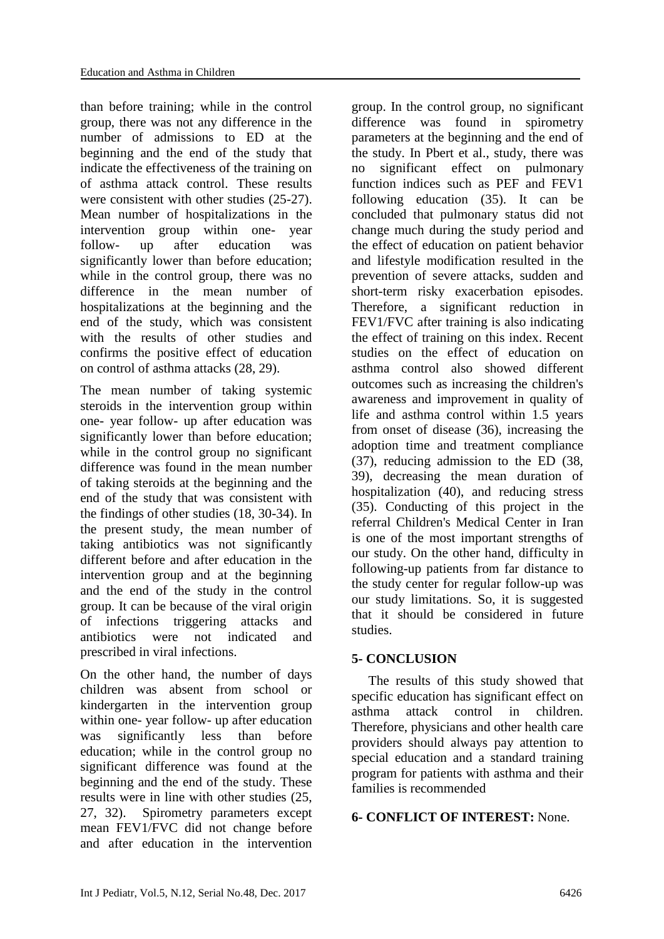than before training; while in the control group, there was not any difference in the number of admissions to ED at the beginning and the end of the study that indicate the effectiveness of the training on of asthma attack control. These results were consistent with other studies (25-27). Mean number of hospitalizations in the intervention group within one- year follow- up after education was significantly lower than before education; while in the control group, there was no difference in the mean number of hospitalizations at the beginning and the end of the study, which was consistent with the results of other studies and confirms the positive effect of education on control of asthma attacks (28, 29).

The mean number of taking systemic steroids in the intervention group within one- year follow- up after education was significantly lower than before education; while in the control group no significant difference was found in the mean number of taking steroids at the beginning and the end of the study that was consistent with the findings of other studies (18, 30-34). In the present study, the mean number of taking antibiotics was not significantly different before and after education in the intervention group and at the beginning and the end of the study in the control group. It can be because of the viral origin of infections triggering attacks and antibiotics were not indicated and prescribed in viral infections.

On the other hand, the number of days children was absent from school or kindergarten in the intervention group within one- year follow- up after education was significantly less than before education; while in the control group no significant difference was found at the beginning and the end of the study. These results were in line with other studies (25, 27, 32). Spirometry parameters except mean FEV1/FVC did not change before and after education in the intervention

group. In the control group, no significant difference was found in spirometry parameters at the beginning and the end of the study. In Pbert et al., study, there was no significant effect on pulmonary function indices such as PEF and FEV1 following education (35). It can be concluded that pulmonary status did not change much during the study period and the effect of education on patient behavior and lifestyle modification resulted in the prevention of severe attacks, sudden and short-term risky exacerbation episodes. Therefore, a significant reduction in FEV1/FVC after training is also indicating the effect of training on this index. Recent studies on the effect of education on asthma control also showed different outcomes such as increasing the children's awareness and improvement in quality of life and asthma control within 1.5 years from onset of disease (36), increasing the adoption time and treatment compliance (37), reducing admission to the ED (38, 39), decreasing the mean duration of hospitalization (40), and reducing stress (35). Conducting of this project in the referral Children's Medical Center in Iran is one of the most important strengths of our study. On the other hand, difficulty in following-up patients from far distance to the study center for regular follow-up was our study limitations. So, it is suggested that it should be considered in future studies.

# **5- CONCLUSION**

 The results of this study showed that specific education has significant effect on asthma attack control in children. Therefore, physicians and other health care providers should always pay attention to special education and a standard training program for patients with asthma and their families is recommended

# **6- CONFLICT OF INTEREST:** None.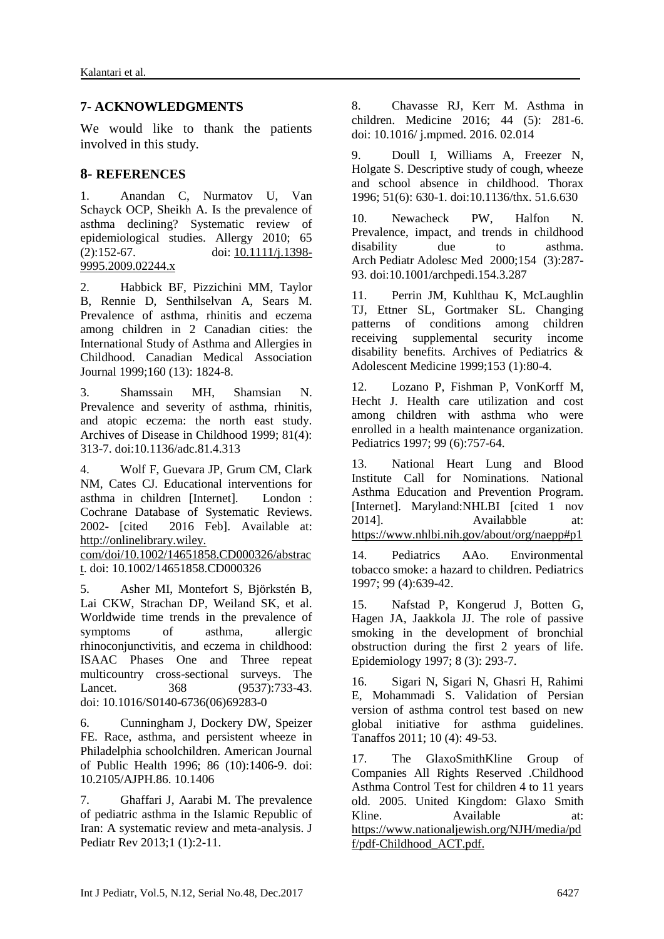### **7- ACKNOWLEDGMENTS**

We would like to thank the patients involved in this study.

### **8- REFERENCES**

1. Anandan C, Nurmatov U, Van Schayck OCP, Sheikh A. Is the prevalence of asthma declining? Systematic review of epidemiological studies. Allergy 2010; 65  $(2):152-67.$  doi:  $10.1111/i.1398-$ [9995.2009.02244.x](http://dx.doi.org/10.1111/j.1398-9995.2009.02244.x)

2. Habbick BF, Pizzichini MM, Taylor B, Rennie D, Senthilselvan A, Sears M. Prevalence of asthma, rhinitis and eczema among children in 2 Canadian cities: the International Study of Asthma and Allergies in Childhood. Canadian Medical Association Journal 1999;160 (13): 1824-8.

3. Shamssain MH, Shamsian N. Prevalence and severity of asthma, rhinitis, and atopic eczema: the north east study. Archives of Disease in Childhood 1999; 81(4): 313-7. doi[:10.1136/adc.81.4.313](http://dx.doi.org/10.1136/adc.81.4.313)

4. Wolf F, Guevara JP, Grum CM, Clark NM, Cates CJ. Educational interventions for asthma in children [Internet]. London : Cochrane Database of Systematic Reviews. 2002- [cited 2016 Feb]. Available at: http://onlinelibrary.wiley.

com/doi/10.1002/14651858.CD000326/abstrac t. doi: [10.1002/14651858.CD000326](http://dx.doi.org/10.1002/14651858.CD000326)

5. Asher MI, Montefort S, Björkstén B, Lai CKW, Strachan DP, Weiland SK, et al. Worldwide time trends in the prevalence of symptoms of asthma, allergic rhinoconjunctivitis, and eczema in childhood: ISAAC Phases One and Three repeat multicountry cross-sectional surveys. The Lancet. 368 (9537):733-43. doi: [10.1016/S0140-6736\(06\)69283-0](http://dx.doi.org/10.1016/S0140-6736(06)69283-0)

6. Cunningham J, Dockery DW, Speizer FE. Race, asthma, and persistent wheeze in Philadelphia schoolchildren. American Journal of Public Health 1996; 86 (10):1406-9. doi: [10.2105/AJPH.86. 10.1406](http://dx.doi.org/10.2105/AJPH.86.10.1406)

7. Ghaffari J, Aarabi M. The prevalence of pediatric asthma in the Islamic Republic of Iran: A systematic review and meta-analysis. J Pediatr Rev 2013;1 (1):2-11.

8. Chavasse RJ, Kerr M. Asthma in children. Medicine 2016; 44 (5): 281-6. doi: [10.1016/ j.mpmed. 2016. 02.014](http://dx.doi.org/10.1016/j.mpmed.2016.02.014)

9. Doull I, Williams A, Freezer N, Holgate S. Descriptive study of cough, wheeze and school absence in childhood. Thorax 1996; 51(6): 630-1. doi[:10.1136/thx.](http://dx.doi.org/10.1136/thx.51.6.630) 51.6.630

10. Newacheck PW, Halfon N. Prevalence, impact, and trends in childhood disability due to asthma. Arch Pediatr Adolesc Med 2000;154 (3):287- 93. doi[:10.1001/archpedi.154.3.287](http://dx.doi.org/10.1001/archpedi.154.3.287)

11. Perrin JM, Kuhlthau K, McLaughlin TJ, Ettner SL, Gortmaker SL. Changing patterns of conditions among children receiving supplemental security income disability benefits. Archives of Pediatrics & Adolescent Medicine 1999;153 (1):80-4.

12. Lozano P, Fishman P, VonKorff M, Hecht J. Health care utilization and cost among children with asthma who were enrolled in a health maintenance organization. Pediatrics 1997; 99 (6):757-64.

13. National Heart Lung and Blood Institute Call for Nominations. National Asthma Education and Prevention Program. [Internet]. Maryland:NHLBI [cited 1 nov 2014]. Availabble at: https://www.nhlbi.nih.gov/about/org/naepp#p1

14. Pediatrics AAo. Environmental tobacco smoke: a hazard to children. Pediatrics 1997; 99 (4):639-42.

15. Nafstad P, Kongerud J, Botten G, Hagen JA, Jaakkola JJ. The role of passive smoking in the development of bronchial obstruction during the first 2 years of life. Epidemiology 1997; 8 (3): 293-7.

16. Sigari N, Sigari N, Ghasri H, Rahimi E, Mohammadi S. Validation of Persian version of asthma control test based on new global initiative for asthma guidelines. Tanaffos 2011; 10 (4): 49-53.

17. The GlaxoSmithKline Group of Companies All Rights Reserved .Childhood Asthma Control Test for children 4 to 11 years old. 2005. United Kingdom: Glaxo Smith Kline. Available at: https://www.nationaljewish.org/NJH/media/pd f/pdf-Childhood\_ACT.pdf.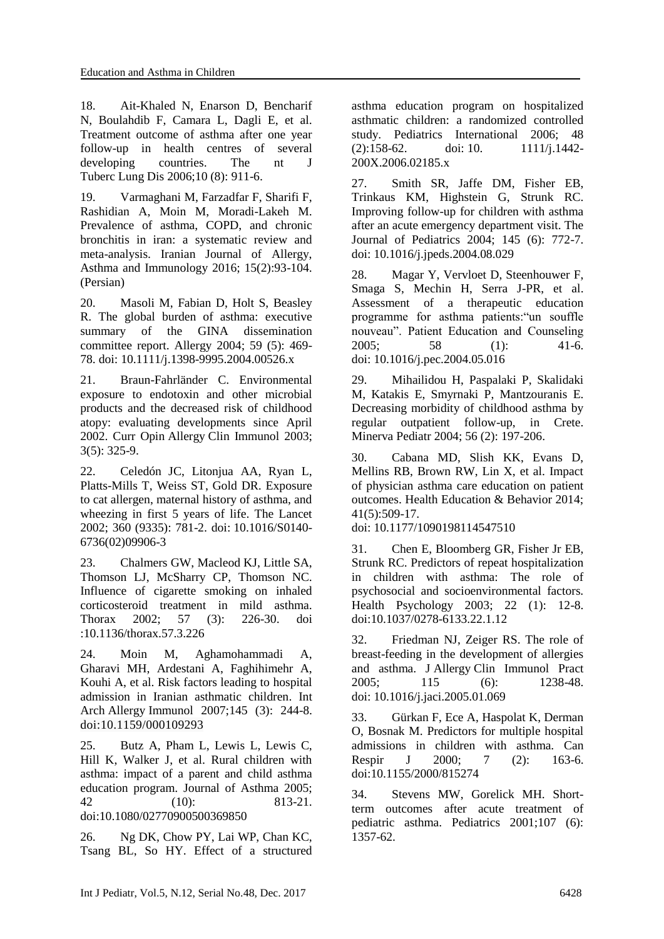18. Ait-Khaled N, Enarson D, Bencharif N, Boulahdib F, Camara L, Dagli E, et al. Treatment outcome of asthma after one year follow-up in health centres of several developing countries. The nt J Tuberc Lung Dis 2006;10 (8): 911-6.

19. Varmaghani M, Farzadfar F, Sharifi F, Rashidian A, Moin M, Moradi-Lakeh M. Prevalence of asthma, COPD, and chronic bronchitis in iran: a systematic review and meta-analysis. Iranian Journal of Allergy, Asthma and Immunology 2016; 15(2):93-104. (Persian)

20. Masoli M, Fabian D, Holt S, Beasley R. The global burden of asthma: executive summary of the GINA dissemination committee report. Allergy 2004; 59 (5): 469- 78. doi: [10.1111/j.1398-9995.2004.00526.x](http://dx.doi.org/10.1111/j.1398-9995.2004.00526.x)

21. Braun-Fahrländer C. Environmental exposure to endotoxin and other microbial products and the decreased risk of childhood atopy: evaluating developments since April 2002. Curr Opin Allergy Clin Immunol 2003; 3(5): 325-9.

22. Celedón JC, Litonjua AA, Ryan L, Platts-Mills T, Weiss ST, Gold DR. Exposure to cat allergen, maternal history of asthma, and wheezing in first 5 years of life. The Lancet 2002; 360 (9335): 781-2. doi: [10.1016/S0140-](http://dx.doi.org/10.1016/S0140-6736(02)09906-3) [6736\(02\)09906-3](http://dx.doi.org/10.1016/S0140-6736(02)09906-3)

23. Chalmers GW, Macleod KJ, Little SA, Thomson LJ, McSharry CP, Thomson NC. Influence of cigarette smoking on inhaled corticosteroid treatment in mild asthma. Thorax 2002; 57 (3): 226-30. doi [:10.1136/thorax.57.3.226](http://dx.doi.org/10.1136/thorax.57.3.226)

24. Moin M, Aghamohammadi A, Gharavi MH, Ardestani A, Faghihimehr A, Kouhi A, et al. Risk factors leading to hospital admission in Iranian asthmatic children. Int Arch Allergy Immunol 2007;145 (3): 244-8. doi[:10.1159/000109293](http://dx.doi.org/10.1159/000109293)

25. Butz A, Pham L, Lewis L, Lewis C, Hill K, Walker J, et al. Rural children with asthma: impact of a parent and child asthma education program. Journal of Asthma 2005; 42 (10): 813-21. doi[:10.1080/02770900500369850](http://dx.doi.org/10.1080/02770900500369850)

26. Ng DK, Chow PY, Lai WP, Chan KC, Tsang BL, So HY. Effect of a structured asthma education program on hospitalized asthmatic children: a randomized controlled study. Pediatrics International 2006; 48 (2):158-62. doi: 10. [1111/j.1442-](http://dx.doi.org/10.1111/j.1442-200X.2006.02185.x) [200X.2006.02185.x](http://dx.doi.org/10.1111/j.1442-200X.2006.02185.x)

27. Smith SR, Jaffe DM, Fisher EB, Trinkaus KM, Highstein G, Strunk RC. Improving follow-up for children with asthma after an acute emergency department visit. The Journal of Pediatrics 2004; 145 (6): 772-7. doi: [10.1016/j.jpeds.2004.08.029](http://dx.doi.org/10.1016/j.jpeds.2004.08.029)

28. Magar Y, Vervloet D, Steenhouwer F, Smaga S, Mechin H, Serra J-PR, et al. Assessment of a therapeutic education programme for asthma patients:"un souffle nouveau". Patient Education and Counseling 2005; 58 (1): 41-6. doi: [10.1016/j.pec.2004.05.016](http://dx.doi.org/10.1016/j.pec.2004.05.016)

29. Mihailidou H, Paspalaki P, Skalidaki M, Katakis E, Smyrnaki P, Mantzouranis E. Decreasing morbidity of childhood asthma by regular outpatient follow-up, in Crete. Minerva Pediatr 2004; 56 (2): 197-206.

30. Cabana MD, Slish KK, Evans D, Mellins RB, Brown RW, Lin X, et al. Impact of physician asthma care education on patient outcomes. Health Education & Behavior 2014; 41(5):509-17.

doi: [10.1177/1090198114547510](http://dx.doi.org/10.1177/1090198114547510)

31. Chen E, Bloomberg GR, Fisher Jr EB, Strunk RC. Predictors of repeat hospitalization in children with asthma: The role of psychosocial and socioenvironmental factors. Health Psychology 2003; 22 (1): 12-8. doi[:10.1037/0278-6133.22.1.12](http://dx.doi.org/10.1037/0278-6133.22.1.12)

32. Friedman NJ, Zeiger RS. The role of breast-feeding in the development of allergies and asthma. J Allergy Clin Immunol Pract 2005; 115 (6): 1238-48. doi: [10.1016/j.jaci.2005.01.069](http://dx.doi.org/10.1016/j.jaci.2005.01.069)

33. Gürkan F, Ece A, Haspolat K, Derman O, Bosnak M. Predictors for multiple hospital admissions in children with asthma. Can Respir J 2000; 7 (2): 163-6. [doi:10.1155/2000/815274](http://dx.doi.org/10.1155/2000/815274)

34. Stevens MW, Gorelick MH. Shortterm outcomes after acute treatment of pediatric asthma. Pediatrics 2001;107 (6): 1357-62.